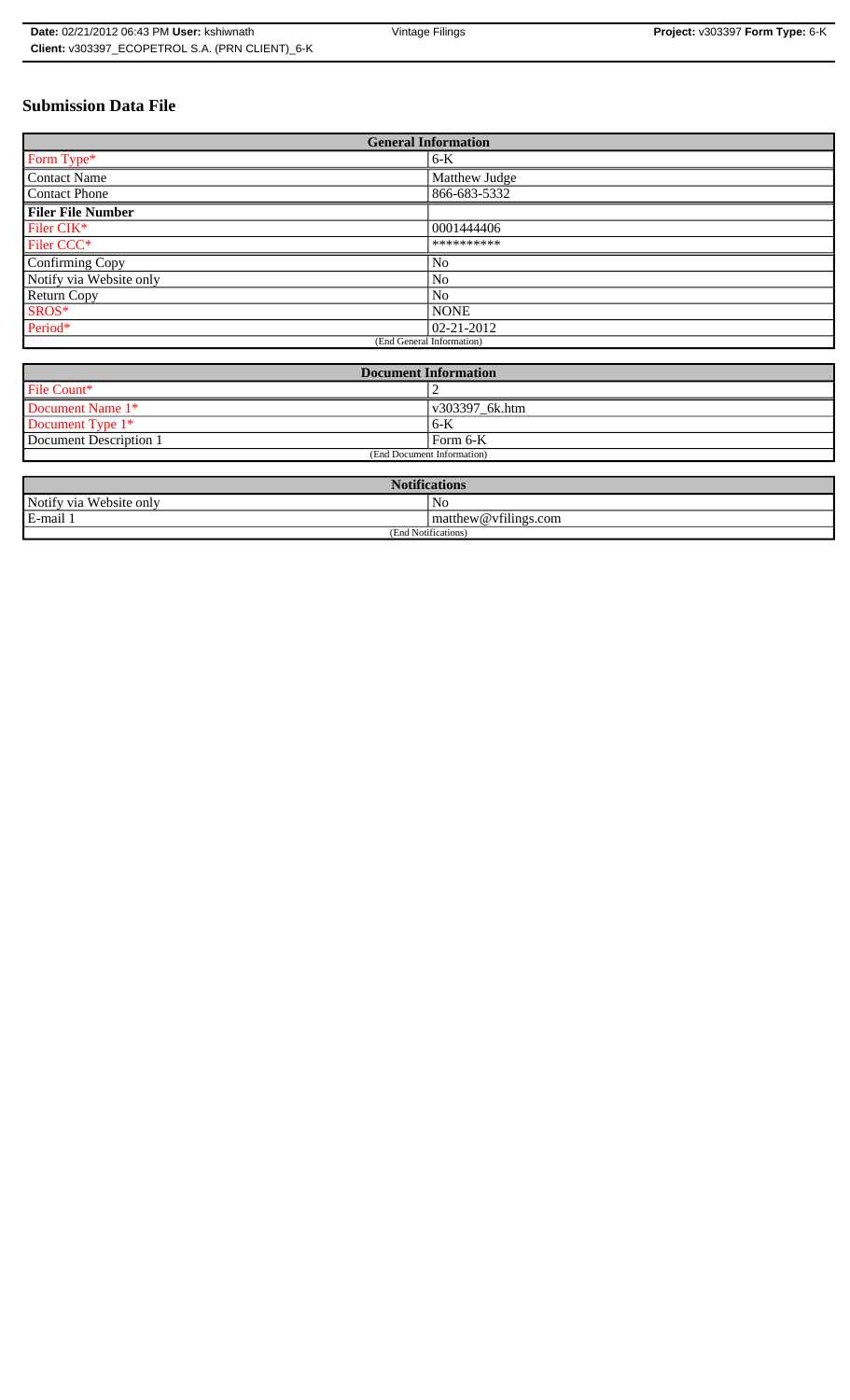# **Submission Data File**

| <b>General Information</b> |                |
|----------------------------|----------------|
| Form Type*                 | $6-K$          |
| <b>Contact Name</b>        | Matthew Judge  |
| <b>Contact Phone</b>       | 866-683-5332   |
| <b>Filer File Number</b>   |                |
| Filer CIK*                 | 0001444406     |
| Filer CCC <sup>*</sup>     | **********     |
| Confirming Copy            | N <sub>0</sub> |
| Notify via Website only    | N <sub>0</sub> |
| <b>Return Copy</b>         | N <sub>o</sub> |
| SROS*                      | <b>NONE</b>    |
| Period*                    | 02-21-2012     |
| (End General Information)  |                |

| <b>Document Information</b> |                |
|-----------------------------|----------------|
| File Count*                 |                |
| Document Name 1*            | v303397 6k.htm |
| Document Type 1*            | $6 - K$        |
| Document Description 1      | Form 6-K       |
| (End Document Information)  |                |

| <b>Notifications</b>    |                                |  |
|-------------------------|--------------------------------|--|
| Notify via Website only | No                             |  |
| E-mail 1                | $\vert$ matthew @ vfilings.com |  |
| (End Notifications)     |                                |  |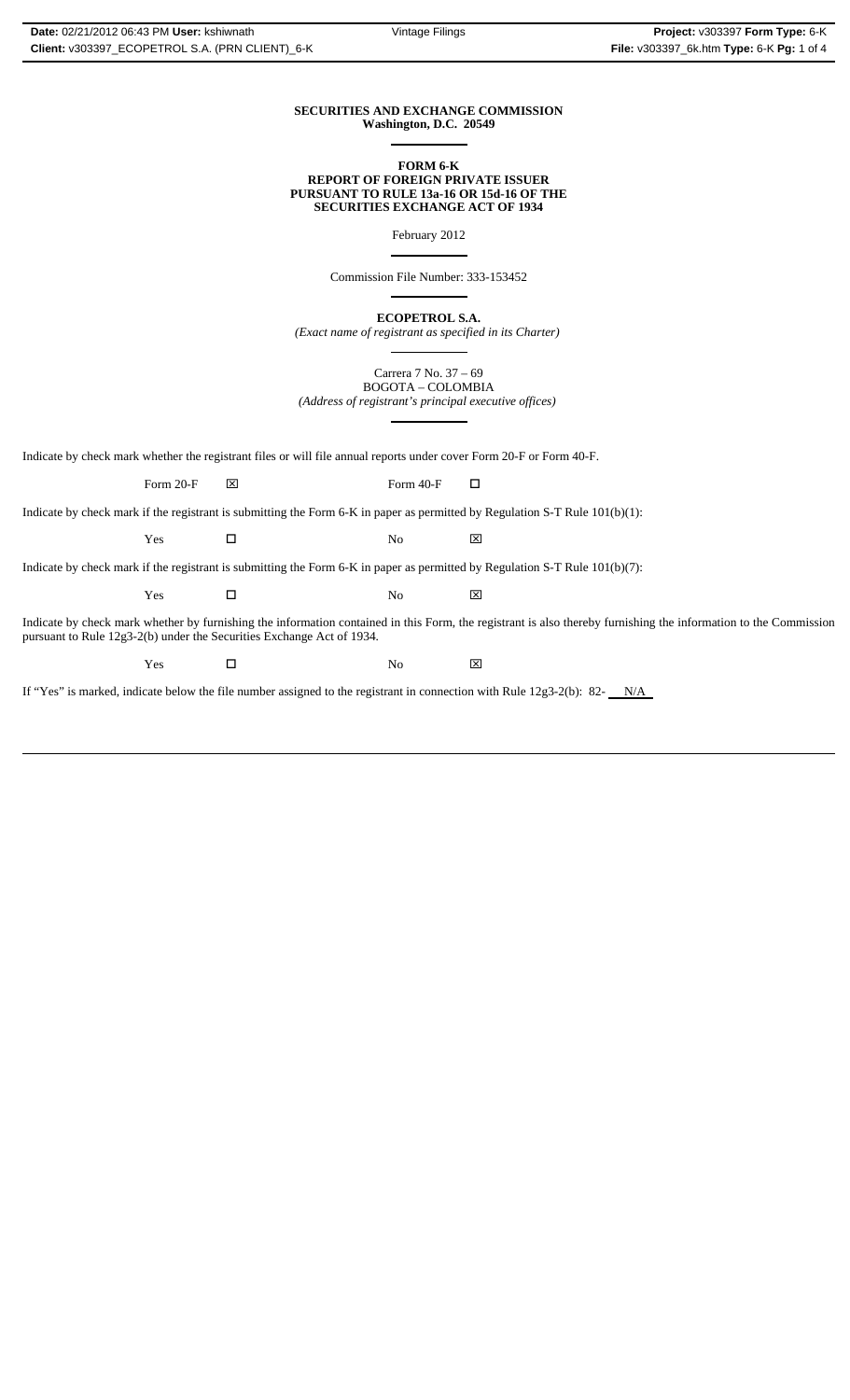### **SECURITIES AND EXCHANGE COMMISSION Washington, D.C. 20549**

 $\overline{a}$ 

 $\overline{a}$ 

 $\overline{a}$ 

#### **FORM 6-K REPORT OF FOREIGN PRIVATE ISSUER PURSUANT TO RULE 13a-16 OR 15d-16 OF THE SECURITIES EXCHANGE ACT OF 1934**

February 2012  $\overline{a}$ 

Commission File Number: 333-153452

**ECOPETROL S.A.**

*(Exact name of registrant as specified in its Charter)* ֦

Carrera 7 No. 37 – 69 BOGOTA – COLOMBIA *(Address of registrant's principal executive offices)*

Indicate by check mark whether the registrant files or will file annual reports under cover Form 20-F or Form 40-F.

Form 20-F  $\boxtimes$  Form 40-F  $\Box$ 

Indicate by check mark if the registrant is submitting the Form 6-K in paper as permitted by Regulation S-T Rule 101(b)(1):

Yes □ No ⊠

Indicate by check mark if the registrant is submitting the Form 6-K in paper as permitted by Regulation S-T Rule 101(b)(7):

 $\Gamma$   $\blacksquare$   $\blacksquare$   $\blacksquare$   $\blacksquare$   $\blacksquare$   $\blacksquare$ 

Indicate by check mark whether by furnishing the information contained in this Form, the registrant is also thereby furnishing the information to the Commission pursuant to Rule 12g3-2(b) under the Securities Exchange Act of 1934.

 $\Gamma$   $\blacksquare$   $\blacksquare$   $\blacksquare$   $\blacksquare$   $\blacksquare$   $\blacksquare$ 

If "Yes" is marked, indicate below the file number assigned to the registrant in connection with Rule  $12g3-2(b)$ : 82- $N/A$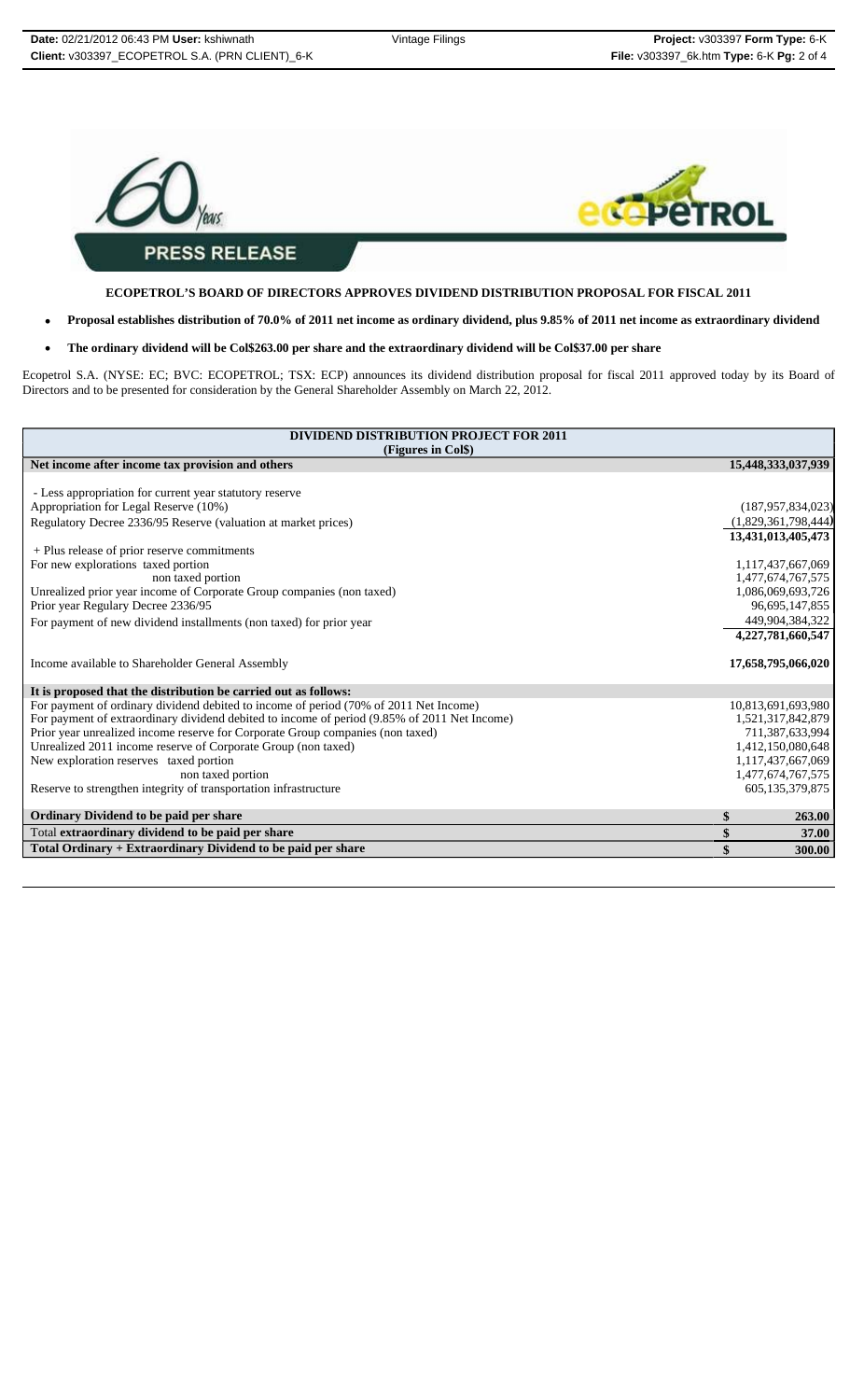

**ECOPETROL'S BOARD OF DIRECTORS APPROVES DIVIDEND DISTRIBUTION PROPOSAL FOR FISCAL 2011**

- **Proposal establishes distribution of 70.0% of 2011 net income as ordinary dividend, plus 9.85% of 2011 net income as extraordinary dividend**
- **The ordinary dividend will be Col\$263.00 per share and the extraordinary dividend will be Col\$37.00 per share**

Ecopetrol S.A. (NYSE: EC; BVC: ECOPETROL; TSX: ECP) announces its dividend distribution proposal for fiscal 2011 approved today by its Board of Directors and to be presented for consideration by the General Shareholder Assembly on March 22, 2012.

| <b>DIVIDEND DISTRIBUTION PROJECT FOR 2011</b>                                                |    |                      |  |  |
|----------------------------------------------------------------------------------------------|----|----------------------|--|--|
| (Figures in Col\$)                                                                           |    |                      |  |  |
| Net income after income tax provision and others                                             |    | 15,448,333,037,939   |  |  |
|                                                                                              |    |                      |  |  |
| - Less appropriation for current year statutory reserve                                      |    |                      |  |  |
| Appropriation for Legal Reserve (10%)                                                        |    | (187, 957, 834, 023) |  |  |
| Regulatory Decree 2336/95 Reserve (valuation at market prices)                               |    | (1,829,361,798,444)  |  |  |
|                                                                                              |    | 13,431,013,405,473   |  |  |
| + Plus release of prior reserve commitments                                                  |    |                      |  |  |
| For new explorations taxed portion                                                           |    | 1,117,437,667,069    |  |  |
| non taxed portion                                                                            |    | 1,477,674,767,575    |  |  |
| Unrealized prior year income of Corporate Group companies (non taxed)                        |    | 1,086,069,693,726    |  |  |
| Prior year Regulary Decree 2336/95                                                           |    | 96,695,147,855       |  |  |
| For payment of new dividend installments (non taxed) for prior year                          |    | 449,904,384,322      |  |  |
|                                                                                              |    | 4,227,781,660,547    |  |  |
|                                                                                              |    |                      |  |  |
| Income available to Shareholder General Assembly                                             |    | 17,658,795,066,020   |  |  |
| It is proposed that the distribution be carried out as follows:                              |    |                      |  |  |
| For payment of ordinary dividend debited to income of period (70% of 2011 Net Income)        |    | 10,813,691,693,980   |  |  |
| For payment of extraordinary dividend debited to income of period (9.85% of 2011 Net Income) |    | 1,521,317,842,879    |  |  |
| Prior year unrealized income reserve for Corporate Group companies (non taxed)               |    | 711,387,633,994      |  |  |
| Unrealized 2011 income reserve of Corporate Group (non taxed)                                |    | 1,412,150,080,648    |  |  |
| New exploration reserves taxed portion                                                       |    | 1,117,437,667,069    |  |  |
| non taxed portion                                                                            |    | 1,477,674,767,575    |  |  |
| Reserve to strengthen integrity of transportation infrastructure                             |    | 605, 135, 379, 875   |  |  |
|                                                                                              | \$ | 263.00               |  |  |
| Ordinary Dividend to be paid per share<br>Total extraordinary dividend to be paid per share  | \$ | 37.00                |  |  |
| Total Ordinary + Extraordinary Dividend to be paid per share                                 | \$ | 300.00               |  |  |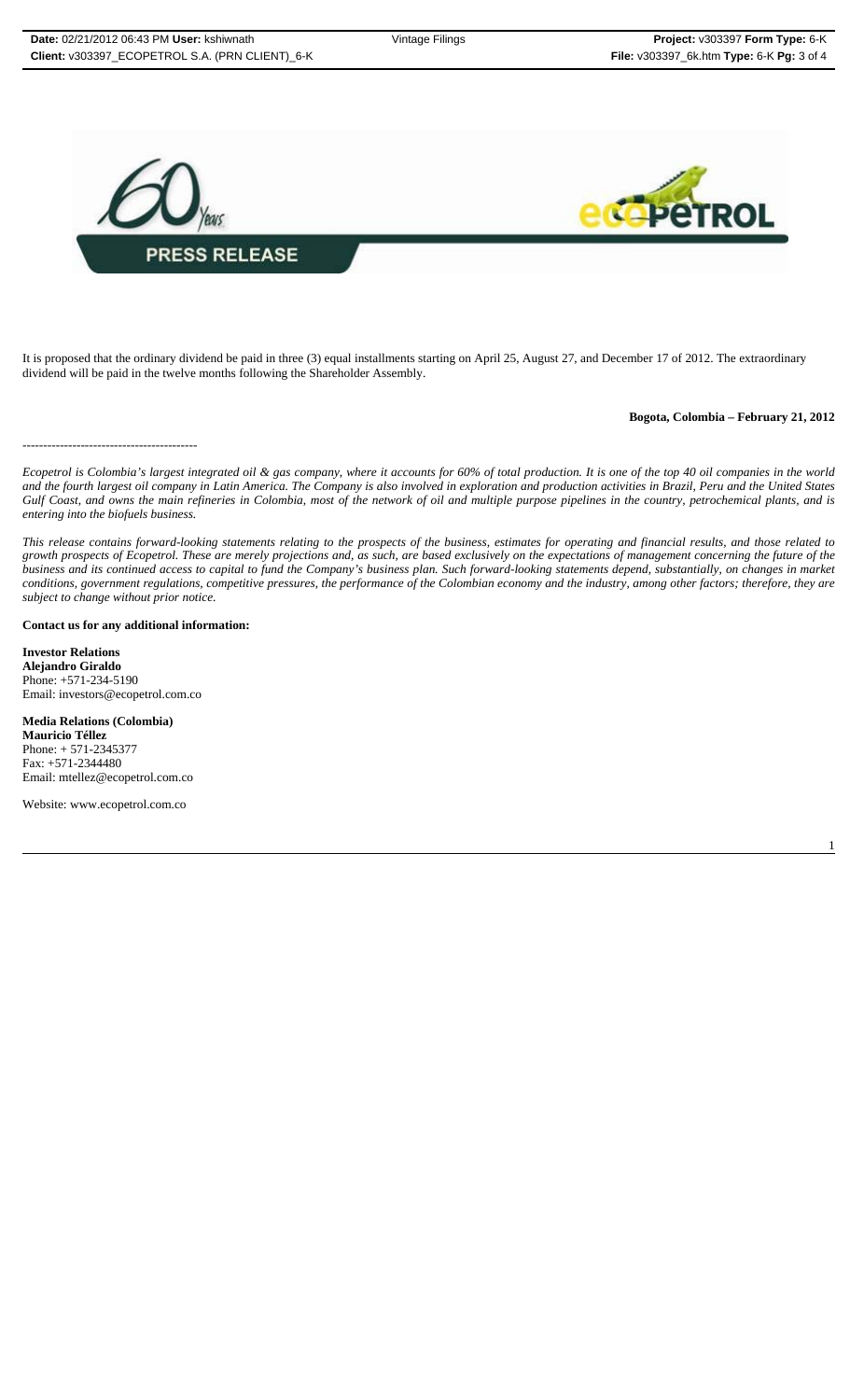

It is proposed that the ordinary dividend be paid in three (3) equal installments starting on April 25, August 27, and December 17 of 2012. The extraordinary dividend will be paid in the twelve months following the Shareholder Assembly.

#### **Bogota, Colombia – February 21, 2012**

1

------------------------------------------

*Ecopetrol is Colombia's largest integrated oil & gas company, where it accounts for 60% of total production. It is one of the top 40 oil companies in the world and the fourth largest oil company in Latin America. The Company is also involved in exploration and production activities in Brazil, Peru and the United States Gulf Coast, and owns the main refineries in Colombia, most of the network of oil and multiple purpose pipelines in the country, petrochemical plants, and is entering into the biofuels business.*

*This release contains forward-looking statements relating to the prospects of the business, estimates for operating and financial results, and those related to growth prospects of Ecopetrol. These are merely projections and, as such, are based exclusively on the expectations of management concerning the future of the business and its continued access to capital to fund the Company's business plan. Such forward-looking statements depend, substantially, on changes in market conditions, government regulations, competitive pressures, the performance of the Colombian economy and the industry, among other factors; therefore, they are subject to change without prior notice.*

**Contact us for any additional information:**

**Investor Relations Alejandro Giraldo** Phone: +571-234-5190 Email: investors@ecopetrol.com.co

**Media Relations (Colombia) Mauricio Téllez** Phone: + 571-2345377 Fax: +571-2344480 Email: mtellez@ecopetrol.com.co

Website: www.ecopetrol.com.co